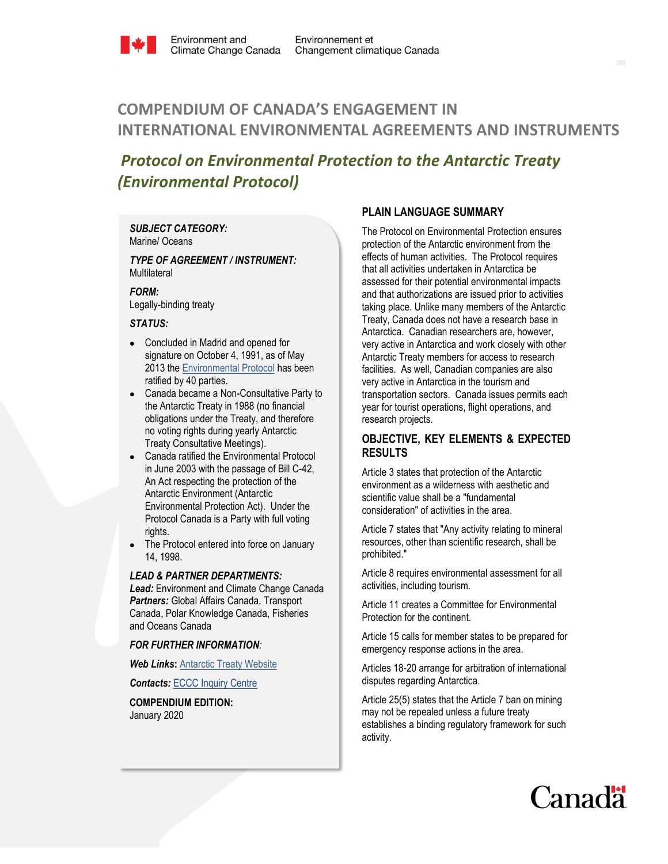

# **COMPENDIUM OF CANADA'S ENGAGEMENT IN INTERNATIONAL ENVIRONMENTAL AGREEMENTS AND INSTRUMENTS**

## *Protocol on Environmental Protection to the Antarctic Treaty (Environmental Protocol)*

## *SUBJECT CATEGORY:*

Marine/ Oceans

*TYPE OF AGREEMENT / INSTRUMENT:*  **Multilateral** 

*FORM:*

Legally-binding treaty

## *STATUS:*

- Concluded in Madrid and opened for signature on October 4, 1991, as of May 2013 the [Environmental](http://www.ats.aq/e/ep.htm) Protocol has been ratified by 40 parties.
- Canada became a Non-Consultative Party to the Antarctic Treaty in 1988 (no financial obligations under the Treaty, and therefore no voting rights during yearly Antarctic Treaty Consultative Meetings).
- Canada ratified the Environmental Protocol in June 2003 with the passage of Bill C-42, An Act respecting the protection of the Antarctic Environment (Antarctic Environmental Protection Act). Under the Protocol Canada is a Party with full voting rights.
- The Protocol entered into force on January 14, 1998.

## *LEAD & PARTNER DEPARTMENTS:*

*Lead:* Environment and Climate Change Canada *Partners:* Global Affairs Canada, Transport Canada, Polar Knowledge Canada, Fisheries and Oceans Canada

## *FOR FURTHER INFORMATION:*

*Web Links***:** [Antarctic Treaty Website](https://ats.aq/index_e.htm)

**Contacts: [ECCC Inquiry Centre](https://www.canada.ca/en/environment-climate-change/corporate/contact.html)** 

**COMPENDIUM EDITION:**  January 2020

## **PLAIN LANGUAGE SUMMARY**

The Protocol on Environmental Protection ensures protection of the Antarctic environment from the effects of human activities. The Protocol requires that all activities undertaken in Antarctica be assessed for their potential environmental impacts and that authorizations are issued prior to activities taking place. Unlike many members of the Antarctic Treaty, Canada does not have a research base in Antarctica. Canadian researchers are, however, very active in Antarctica and work closely with other Antarctic Treaty members for access to research facilities. As well, Canadian companies are also very active in Antarctica in the tourism and transportation sectors. Canada issues permits each year for tourist operations, flight operations, and research projects.

## **OBJECTIVE, KEY ELEMENTS & EXPECTED RESULTS**

Article 3 states that protection of the Antarctic environment as a wilderness with aesthetic and scientific value shall be a "fundamental consideration" of activities in the area.

Article 7 states that "Any activity relating to mineral resources, other than scientific research, shall be prohibited."

Article 8 requires environmental assessment for all activities, including tourism.

Article 11 creates a Committee for Environmental Protection for the continent.

Article 15 calls for member states to be prepared for emergency response actions in the area.

Articles 18-20 arrange for arbitration of international disputes regarding Antarctica.

Article 25(5) states that the Article 7 ban on mining may not be repealed unless a future treaty establishes a binding regulatory framework for such activity.